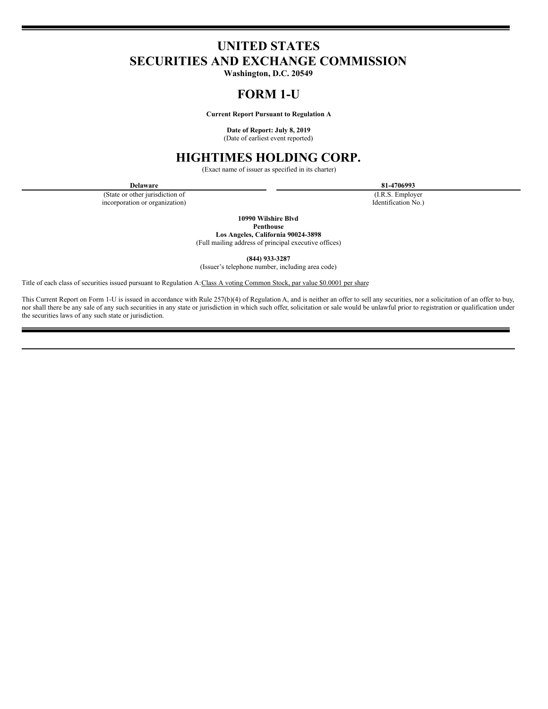# **UNITED STATES SECURITIES AND EXCHANGE COMMISSION**

**Washington, D.C. 20549**

# **FORM 1-U**

**Current Report Pursuant to Regulation A**

**Date of Report: July 8, 2019**

(Date of earliest event reported)

# **HIGHTIMES HOLDING CORP.**

(Exact name of issuer as specified in its charter)

(State or other jurisdiction of incorporation or organization)

**Delaware 81-4706993**

(I.R.S. Employer Identification No.)

**10990 Wilshire Blvd**

**Penthouse**

**Los Angeles, California 90024-3898** (Full mailing address of principal executive offices)

**(844) 933-3287**

(Issuer's telephone number, including area code)

Title of each class of securities issued pursuant to Regulation A: Class A voting Common Stock, par value \$0.0001 per share

This Current Report on Form 1-U is issued in accordance with Rule 257(b)(4) of Regulation A, and is neither an offer to sell any securities, nor a solicitation of an offer to buy, nor shall there be any sale of any such securities in any state or jurisdiction in which such offer, solicitation or sale would be unlawful prior to registration or qualification under the securities laws of any such state or jurisdiction.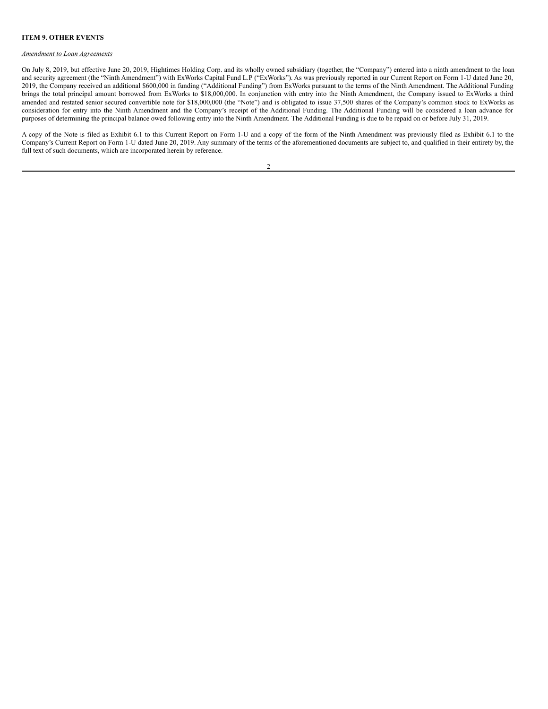## **ITEM 9. OTHER EVENTS**

## *Amendment to Loan Agreements*

On July 8, 2019, but effective June 20, 2019, Hightimes Holding Corp. and its wholly owned subsidiary (together, the "Company") entered into a ninth amendment to the loan and security agreement (the "Ninth Amendment") with ExWorks Capital Fund L.P ("ExWorks"). As was previously reported in our Current Report on Form 1-U dated June 20, 2019, the Company received an additional \$600,000 in funding ("Additional Funding") from ExWorks pursuant to the terms of the Ninth Amendment. The Additional Funding brings the total principal amount borrowed from ExWorks to \$18,000,000. In conjunction with entry into the Ninth Amendment, the Company issued to ExWorks a third amended and restated senior secured convertible note for \$18,000,000 (the "Note") and is obligated to issue 37,500 shares of the Company's common stock to ExWorks as consideration for entry into the Ninth Amendment and the Company's receipt of the Additional Funding. The Additional Funding will be considered a loan advance for purposes of determining the principal balance owed following entry into the Ninth Amendment. The Additional Funding is due to be repaid on or before July 31, 2019.

A copy of the Note is filed as Exhibit 6.1 to this Current Report on Form 1-U and a copy of the form of the Ninth Amendment was previously filed as Exhibit 6.1 to the Company's Current Report on Form 1-U dated June 20, 2019. Any summary of the terms of the aforementioned documents are subject to, and qualified in their entirety by, the full text of such documents, which are incorporated herein by reference.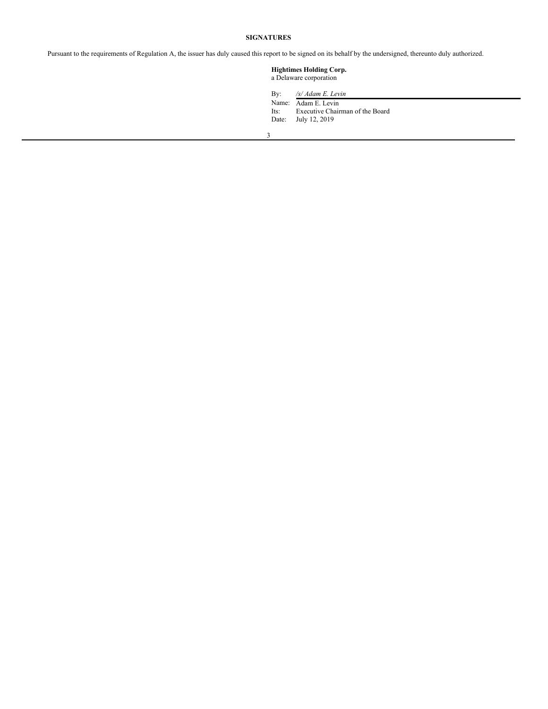## **SIGNATURES**

Pursuant to the requirements of Regulation A, the issuer has duly caused this report to be signed on its behalf by the undersigned, thereunto duly authorized.

# **Hightimes Holding Corp.** a Delaware corporation

By: */s/ Adam E. Levin*

Name: Adam E. Levin Its: Executive Chairman of the Board Date: July 12, 2019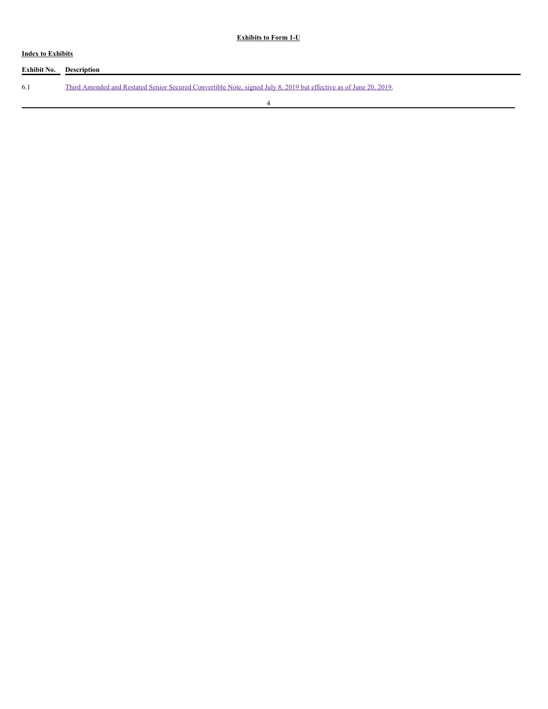# **Exhibits to Form 1-U**

# **Index to Exhibits**

| <b>Exhibit No.</b> Description |                                                                                                                    |
|--------------------------------|--------------------------------------------------------------------------------------------------------------------|
| 6.1                            | Third Amended and Restated Senior Secured Convertible Note, signed July 8, 2019 but effective as of June 20, 2019. |
|                                |                                                                                                                    |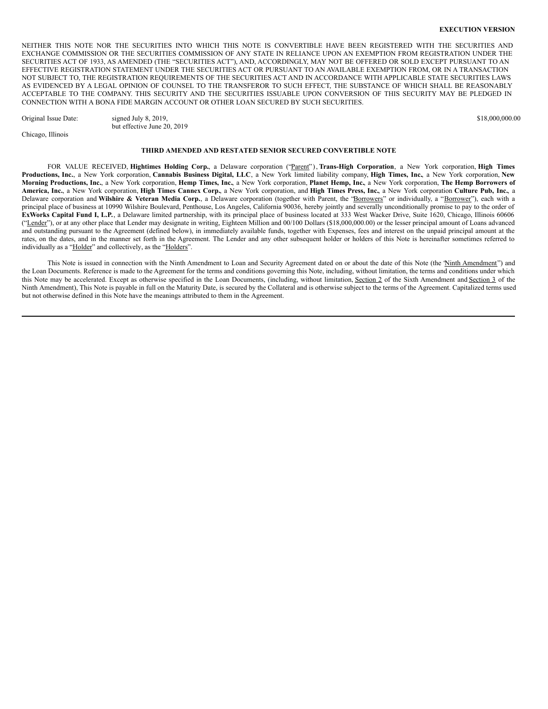#### **EXECUTION VERSION**

NEITHER THIS NOTE NOR THE SECURITIES INTO WHICH THIS NOTE IS CONVERTIBLE HAVE BEEN REGISTERED WITH THE SECURITIES AND EXCHANGE COMMISSION OR THE SECURITIES COMMISSION OF ANY STATE IN RELIANCE UPON AN EXEMPTION FROM REGISTRATION UNDER THE SECURITIES ACT OF 1933, AS AMENDED (THE "SECURITIES ACT"), AND, ACCORDINGLY, MAY NOT BE OFFERED OR SOLD EXCEPT PURSUANT TO AN EFFECTIVE REGISTRATION STATEMENT UNDER THE SECURITIES ACT OR PURSUANT TO AN AVAILABLE EXEMPTION FROM, OR IN A TRANSACTION NOT SUBJECT TO, THE REGISTRATION REQUIREMENTS OF THE SECURITIES ACT AND IN ACCORDANCE WITH APPLICABLE STATE SECURITIES LAWS AS EVIDENCED BY A LEGAL OPINION OF COUNSEL TO THE TRANSFEROR TO SUCH EFFECT, THE SUBSTANCE OF WHICH SHALL BE REASONABLY ACCEPTABLE TO THE COMPANY. THIS SECURITY AND THE SECURITIES ISSUABLE UPON CONVERSION OF THIS SECURITY MAY BE PLEDGED IN CONNECTION WITH A BONA FIDE MARGIN ACCOUNT OR OTHER LOAN SECURED BY SUCH SECURITIES.

Original Issue Date: signed July 8, 2019, \$18,000,000.00

Chicago, Illinois

but effective June 20, 2019

#### **THIRD AMENDED AND RESTATED SENIOR SECURED CONVERTIBLE NOTE**

FOR VALUE RECEIVED, **Hightimes Holding Corp.**, a Delaware corporation ("Parent" ), **Trans-High Corporation**, a New York corporation, **High Times** Productions, Inc., a New York corporation, Cannabis Business Digital, LLC, a New York limited liability company, High Times, Inc., a New York corporation, New Morning Productions, Inc., a New York corporation, Hemp Times, Inc., a New York corporation, Planet Hemp, Inc., a New York corporation, The Hemp Borrowers of America, Inc., a New York corporation, High Times Cannex Corp., a New York corporation, and High Times Press, Inc., a New York corporation Culture Pub, Inc., a Delaware corporation and **Wilshire & Veteran Media Corp.**, a Delaware corporation (together with Parent, the "Borrowers" or individually, a "Borrower"), each with a principal place of business at 10990 Wilshire Boulevard, Penthouse, Los Angeles, California 90036, hereby jointly and severally unconditionally promise to pay to the order of **ExWorks Capital Fund I, L.P.**, a Delaware limited partnership, with its principal place of business located at 333 West Wacker Drive, Suite 1620, Chicago, Illinois 60606 ("Lender"), or at any other place that Lender may designate in writing, Eighteen Million and 00/100 Dollars (\$18,000,000.00) or the lesser principal amount of Loans advanced and outstanding pursuant to the Agreement (defined below), in immediately available funds, together with Expenses, fees and interest on the unpaid principal amount at the rates, on the dates, and in the manner set forth in the Agreement. The Lender and any other subsequent holder or holders of this Note is hereinafter sometimes referred to individually as a "Holder" and collectively, as the "Holders".

This Note is issued in connection with the Ninth Amendment to Loan and Security Agreement dated on or about the date of this Note (the 'Ninth Amendment'') and the Loan Documents. Reference is made to the Agreement for the terms and conditions governing this Note, including, without limitation, the terms and conditions under which this Note may be accelerated. Except as otherwise specified in the Loan Documents, (including, without limitation, Section 2 of the Sixth Amendment and Section 3 of the Ninth Amendment), This Note is payable in full on the Maturity Date, is secured by the Collateral and is otherwise subject to the terms of the Agreement. Capitalized terms used but not otherwise defined in this Note have the meanings attributed to them in the Agreement.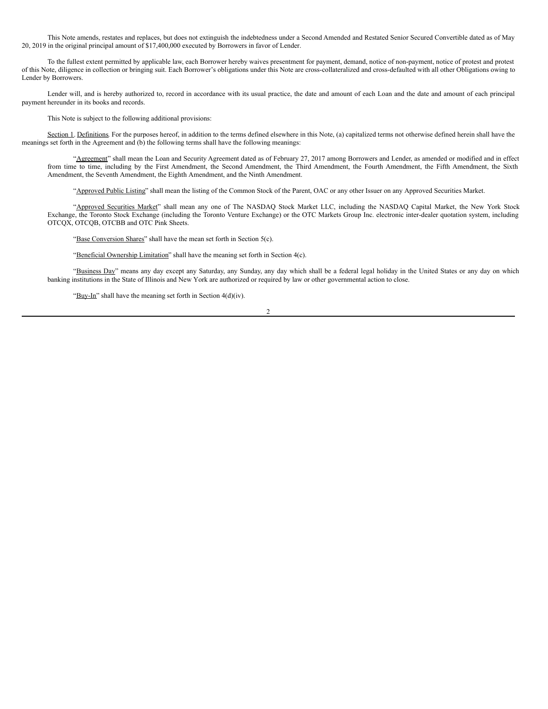This Note amends, restates and replaces, but does not extinguish the indebtedness under a Second Amended and Restated Senior Secured Convertible dated as of May 20, 2019 in the original principal amount of \$17,400,000 executed by Borrowers in favor of Lender.

To the fullest extent permitted by applicable law, each Borrower hereby waives presentment for payment, demand, notice of non-payment, notice of protest and protest of this Note, diligence in collection or bringing suit. Each Borrower's obligations under this Note are cross-collateralized and cross-defaulted with all other Obligations owing to Lender by Borrowers.

Lender will, and is hereby authorized to, record in accordance with its usual practice, the date and amount of each Loan and the date and amount of each principal payment hereunder in its books and records.

This Note is subject to the following additional provisions:

Section 1. Definitions. For the purposes hereof, in addition to the terms defined elsewhere in this Note, (a) capitalized terms not otherwise defined herein shall have the meanings set forth in the Agreement and (b) the following terms shall have the following meanings:

"Agreement" shall mean the Loan and Security Agreement dated as of February 27, 2017 among Borrowers and Lender, as amended or modified and in effect from time to time, including by the First Amendment, the Second Amendment, the Third Amendment, the Fourth Amendment, the Fifth Amendment, the Sixth Amendment, the Seventh Amendment, the Eighth Amendment, and the Ninth Amendment.

"Approved Public Listing" shall mean the listing of the Common Stock of the Parent, OAC or any other Issuer on any Approved Securities Market.

"Approved Securities Market" shall mean any one of The NASDAQ Stock Market LLC, including the NASDAQ Capital Market, the New York Stock Exchange, the Toronto Stock Exchange (including the Toronto Venture Exchange) or the OTC Markets Group Inc. electronic inter-dealer quotation system, including OTCQX, OTCQB, OTCBB and OTC Pink Sheets.

"Base Conversion Shares" shall have the mean set forth in Section 5(c).

"Beneficial Ownership Limitation" shall have the meaning set forth in Section 4(c).

"Business Day" means any day except any Saturday, any Sunday, any day which shall be a federal legal holiday in the United States or any day on which banking institutions in the State of Illinois and New York are authorized or required by law or other governmental action to close.

"Buy-In" shall have the meaning set forth in Section  $4(d)(iv)$ .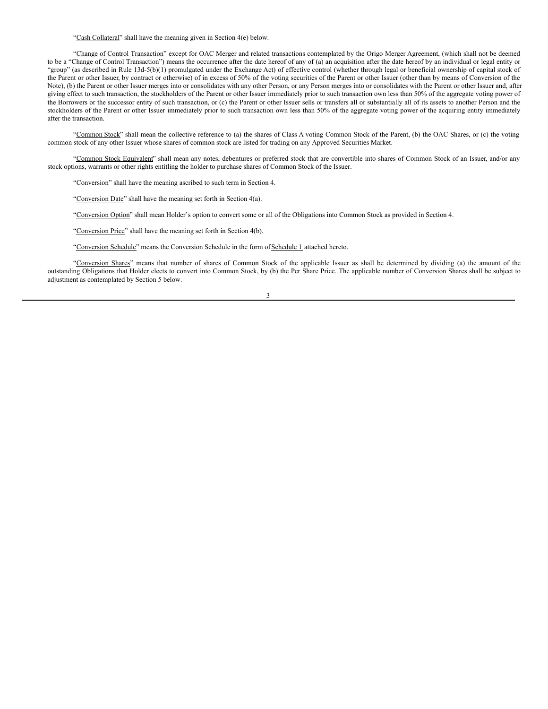"Cash Collateral" shall have the meaning given in Section 4(e) below.

"Change of Control Transaction" except for OAC Merger and related transactions contemplated by the Origo Merger Agreement, (which shall not be deemed to be a "Change of Control Transaction") means the occurrence after the date hereof of any of (a) an acquisition after the date hereof by an individual or legal entity or "group" (as described in Rule 13d-5(b)(1) promulgated under the Exchange Act) of effective control (whether through legal or beneficial ownership of capital stock of the Parent or other Issuer, by contract or otherwise) of in excess of 50% of the voting securities of the Parent or other Issuer (other than by means of Conversion of the Note), (b) the Parent or other Issuer merges into or consolidates with any other Person, or any Person merges into or consolidates with the Parent or other Issuer and, after giving effect to such transaction, the stockholders of the Parent or other Issuer immediately prior to such transaction own less than 50% of the aggregate voting power of the Borrowers or the successor entity of such transaction, or (c) the Parent or other Issuer sells or transfers all or substantially all of its assets to another Person and the stockholders of the Parent or other Issuer immediately prior to such transaction own less than 50% of the aggregate voting power of the acquiring entity immediately after the transaction.

"Common Stock" shall mean the collective reference to (a) the shares of Class A voting Common Stock of the Parent, (b) the OAC Shares, or (c) the voting common stock of any other Issuer whose shares of common stock are listed for trading on any Approved Securities Market.

"Common Stock Equivalent" shall mean any notes, debentures or preferred stock that are convertible into shares of Common Stock of an Issuer, and/or any stock options, warrants or other rights entitling the holder to purchase shares of Common Stock of the Issuer.

"Conversion" shall have the meaning ascribed to such term in Section 4.

"Conversion Date" shall have the meaning set forth in Section 4(a).

"Conversion Option" shall mean Holder's option to convert some or all of the Obligations into Common Stock as provided in Section 4.

"Conversion Price" shall have the meaning set forth in Section 4(b).

"Conversion Schedule" means the Conversion Schedule in the form of Schedule 1 attached hereto.

"Conversion Shares" means that number of shares of Common Stock of the applicable Issuer as shall be determined by dividing (a) the amount of the outstanding Obligations that Holder elects to convert into Common Stock, by (b) the Per Share Price. The applicable number of Conversion Shares shall be subject to adjustment as contemplated by Section 5 below.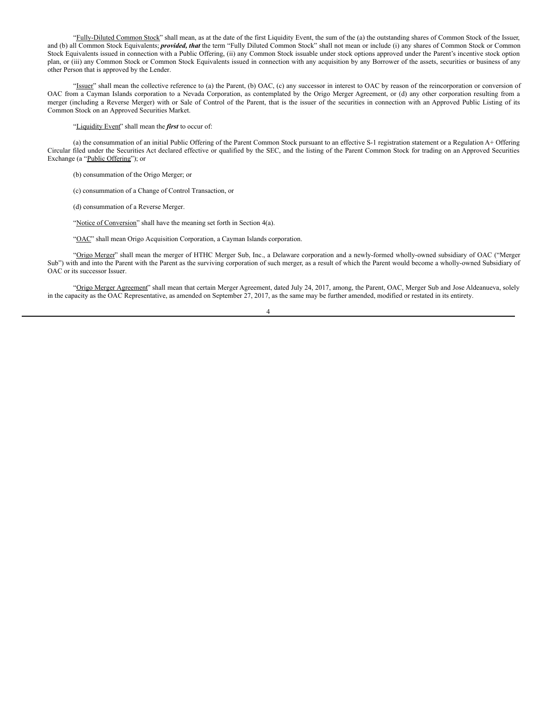"Fully-Diluted Common Stock" shall mean, as at the date of the first Liquidity Event, the sum of the (a) the outstanding shares of Common Stock of the Issuer, and (b) all Common Stock Equivalents; *provided, that* the term "Fully Diluted Common Stock" shall not mean or include (i) any shares of Common Stock or Common Stock Equivalents issued in connection with a Public Offering, (ii) any Common Stock issuable under stock options approved under the Parent's incentive stock option plan, or (iii) any Common Stock or Common Stock Equivalents issued in connection with any acquisition by any Borrower of the assets, securities or business of any other Person that is approved by the Lender.

"Issuer" shall mean the collective reference to (a) the Parent, (b) OAC, (c) any successor in interest to OAC by reason of the reincorporation or conversion of OAC from a Cayman Islands corporation to a Nevada Corporation, as contemplated by the Origo Merger Agreement, or (d) any other corporation resulting from a merger (including a Reverse Merger) with or Sale of Control of the Parent, that is the issuer of the securities in connection with an Approved Public Listing of its Common Stock on an Approved Securities Market.

"Liquidity Event" shall mean the *first* to occur of:

(a) the consummation of an initial Public Offering of the Parent Common Stock pursuant to an effective S-1 registration statement or a Regulation A+ Offering Circular filed under the Securities Act declared effective or qualified by the SEC, and the listing of the Parent Common Stock for trading on an Approved Securities Exchange (a "Public Offering"); or

(b) consummation of the Origo Merger; or

(c) consummation of a Change of Control Transaction, or

(d) consummation of a Reverse Merger.

"Notice of Conversion" shall have the meaning set forth in Section 4(a).

"OAC" shall mean Origo Acquisition Corporation, a Cayman Islands corporation.

"Origo Merger" shall mean the merger of HTHC Merger Sub, Inc., a Delaware corporation and a newly-formed wholly-owned subsidiary of OAC ("Merger Sub") with and into the Parent with the Parent as the surviving corporation of such merger, as a result of which the Parent would become a wholly-owned Subsidiary of OAC or its successor Issuer.

"Origo Merger Agreement" shall mean that certain Merger Agreement, dated July 24, 2017, among, the Parent, OAC, Merger Sub and Jose Aldeanueva, solely in the capacity as the OAC Representative, as amended on September 27, 2017, as the same may be further amended, modified or restated in its entirety.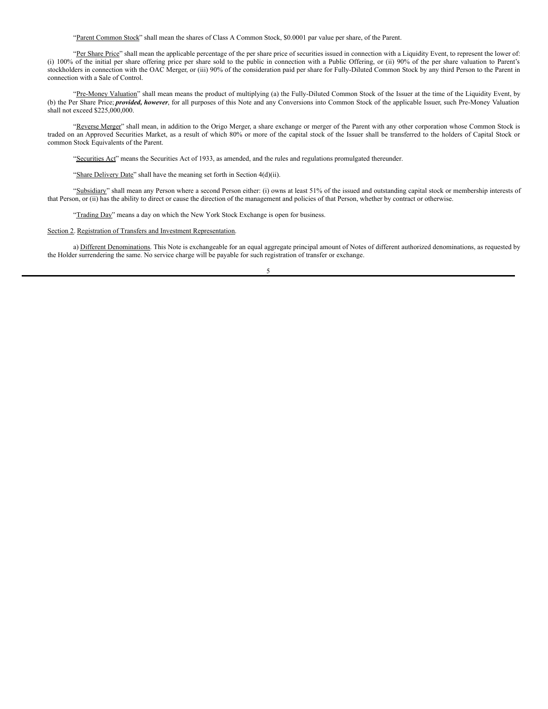"Parent Common Stock" shall mean the shares of Class A Common Stock, \$0.0001 par value per share, of the Parent.

"Per Share Price" shall mean the applicable percentage of the per share price of securities issued in connection with a Liquidity Event, to represent the lower of: (i) 100% of the initial per share offering price per share sold to the public in connection with a Public Offering, or (ii) 90% of the per share valuation to Parent's stockholders in connection with the OAC Merger, or (iii) 90% of the consideration paid per share for Fully-Diluted Common Stock by any third Person to the Parent in connection with a Sale of Control.

"Pre-Money Valuation" shall mean means the product of multiplying (a) the Fully-Diluted Common Stock of the Issuer at the time of the Liquidity Event, by (b) the Per Share Price; *provided, however*, for all purposes of this Note and any Conversions into Common Stock of the applicable Issuer, such Pre-Money Valuation shall not exceed \$225,000,000.

"Reverse Merger" shall mean, in addition to the Origo Merger, a share exchange or merger of the Parent with any other corporation whose Common Stock is traded on an Approved Securities Market, as a result of which 80% or more of the capital stock of the Issuer shall be transferred to the holders of Capital Stock or common Stock Equivalents of the Parent.

"Securities Act" means the Securities Act of 1933, as amended, and the rules and regulations promulgated thereunder.

"Share Delivery Date" shall have the meaning set forth in Section 4(d)(ii).

"Subsidiary" shall mean any Person where a second Person either: (i) owns at least 51% of the issued and outstanding capital stock or membership interests of that Person, or (ii) has the ability to direct or cause the direction of the management and policies of that Person, whether by contract or otherwise.

"Trading Day" means a day on which the New York Stock Exchange is open for business.

## Section 2. Registration of Transfers and Investment Representation.

a) Different Denominations. This Note is exchangeable for an equal aggregate principal amount of Notes of different authorized denominations, as requested by the Holder surrendering the same. No service charge will be payable for such registration of transfer or exchange.

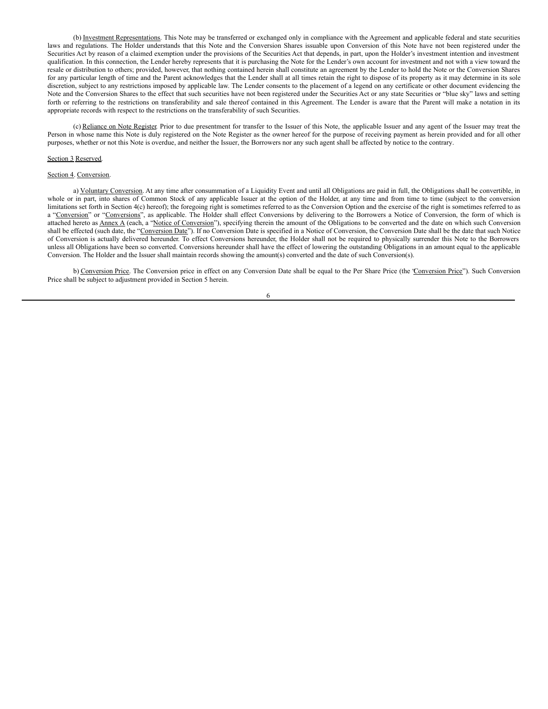(b) Investment Representations. This Note may be transferred or exchanged only in compliance with the Agreement and applicable federal and state securities laws and regulations. The Holder understands that this Note and the Conversion Shares issuable upon Conversion of this Note have not been registered under the Securities Act by reason of a claimed exemption under the provisions of the Securities Act that depends, in part, upon the Holder's investment intention and investment qualification. In this connection, the Lender hereby represents that it is purchasing the Note for the Lender's own account for investment and not with a view toward the resale or distribution to others; provided, however, that nothing contained herein shall constitute an agreement by the Lender to hold the Note or the Conversion Shares for any particular length of time and the Parent acknowledges that the Lender shall at all times retain the right to dispose of its property as it may determine in its sole discretion, subject to any restrictions imposed by applicable law. The Lender consents to the placement of a legend on any certificate or other document evidencing the Note and the Conversion Shares to the effect that such securities have not been registered under the Securities Act or any state Securities or "blue sky" laws and setting forth or referring to the restrictions on transferability and sale thereof contained in this Agreement. The Lender is aware that the Parent will make a notation in its appropriate records with respect to the restrictions on the transferability of such Securities.

(c) Reliance on Note Register. Prior to due presentment for transfer to the Issuer of this Note, the applicable Issuer and any agent of the Issuer may treat the Person in whose name this Note is duly registered on the Note Register as the owner hereof for the purpose of receiving payment as herein provided and for all other purposes, whether or not this Note is overdue, and neither the Issuer, the Borrowers nor any such agent shall be affected by notice to the contrary.

#### Section 3 Reserved.

## Section 4. Conversion.

a) Voluntary Conversion. At any time after consummation of a Liquidity Event and until all Obligations are paid in full, the Obligations shall be convertible, in whole or in part, into shares of Common Stock of any applicable Issuer at the option of the Holder, at any time and from time to time (subject to the conversion limitations set forth in Section 4(c) hereof); the foregoing right is sometimes referred to as the Conversion Option and the exercise of the right is sometimes referred to as a "Conversion" or "Conversions", as applicable. The Holder shall effect Conversions by delivering to the Borrowers a Notice of Conversion, the form of which is attached hereto as Annex A (each, a "Notice of Conversion"), specifying therein the amount of the Obligations to be converted and the date on which such Conversion shall be effected (such date, the "Conversion Date"). If no Conversion Date is specified in a Notice of Conversion, the Conversion Date shall be the date that such Notice of Conversion is actually delivered hereunder. To effect Conversions hereunder, the Holder shall not be required to physically surrender this Note to the Borrowers unless all Obligations have been so converted. Conversions hereunder shall have the effect of lowering the outstanding Obligations in an amount equal to the applicable Conversion. The Holder and the Issuer shall maintain records showing the amount(s) converted and the date of such Conversion(s).

b) Conversion Price. The Conversion price in effect on any Conversion Date shall be equal to the Per Share Price (the 'Conversion Price''). Such Conversion Price shall be subject to adjustment provided in Section 5 herein.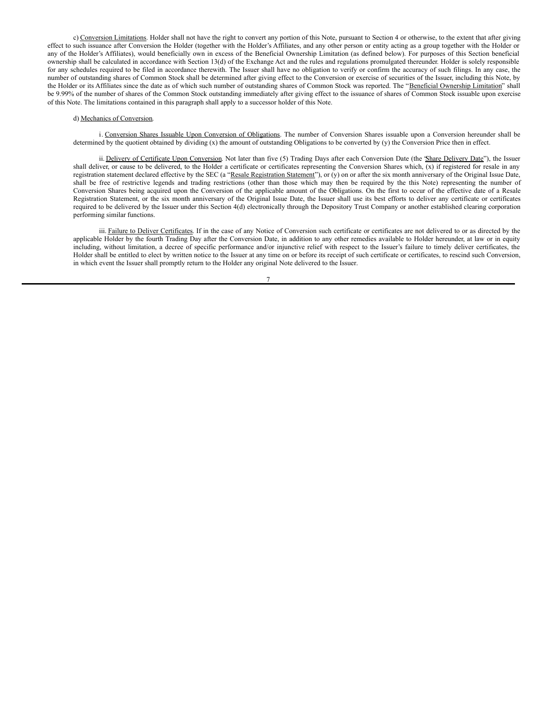c) Conversion Limitations. Holder shall not have the right to convert any portion of this Note, pursuant to Section 4 or otherwise, to the extent that after giving effect to such issuance after Conversion the Holder (together with the Holder's Affiliates, and any other person or entity acting as a group together with the Holder or any of the Holder's Affiliates), would beneficially own in excess of the Beneficial Ownership Limitation (as defined below). For purposes of this Section beneficial ownership shall be calculated in accordance with Section 13(d) of the Exchange Act and the rules and regulations promulgated thereunder. Holder is solely responsible for any schedules required to be filed in accordance therewith. The Issuer shall have no obligation to verify or confirm the accuracy of such filings. In any case, the number of outstanding shares of Common Stock shall be determined after giving effect to the Conversion or exercise of securities of the Issuer, including this Note, by the Holder or its Affiliates since the date as of which such number of outstanding shares of Common Stock was reported. The "Beneficial Ownership Limitation" shall be 9.99% of the number of shares of the Common Stock outstanding immediately after giving effect to the issuance of shares of Common Stock issuable upon exercise of this Note. The limitations contained in this paragraph shall apply to a successor holder of this Note.

## d) Mechanics of Conversion.

i. Conversion Shares Issuable Upon Conversion of Obligations. The number of Conversion Shares issuable upon a Conversion hereunder shall be determined by the quotient obtained by dividing (x) the amount of outstanding Obligations to be converted by (y) the Conversion Price then in effect.

ii. Delivery of Certificate Upon Conversion. Not later than five (5) Trading Days after each Conversion Date (the 'Share Delivery Date''), the Issuer shall deliver, or cause to be delivered, to the Holder a certificate or certificates representing the Conversion Shares which, (x) if registered for resale in any registration statement declared effective by the SEC (a "Resale Registration Statement"), or (y) on or after the six month anniversary of the Original Issue Date, shall be free of restrictive legends and trading restrictions (other than those which may then be required by the this Note) representing the number of Conversion Shares being acquired upon the Conversion of the applicable amount of the Obligations. On the first to occur of the effective date of a Resale Registration Statement, or the six month anniversary of the Original Issue Date, the Issuer shall use its best efforts to deliver any certificate or certificates required to be delivered by the Issuer under this Section 4(d) electronically through the Depository Trust Company or another established clearing corporation performing similar functions.

iii. Failure to Deliver Certificates. If in the case of any Notice of Conversion such certificate or certificates are not delivered to or as directed by the applicable Holder by the fourth Trading Day after the Conversion Date, in addition to any other remedies available to Holder hereunder, at law or in equity including, without limitation, a decree of specific performance and/or injunctive relief with respect to the Issuer's failure to timely deliver certificates, the Holder shall be entitled to elect by written notice to the Issuer at any time on or before its receipt of such certificate or certificates, to rescind such Conversion, in which event the Issuer shall promptly return to the Holder any original Note delivered to the Issuer.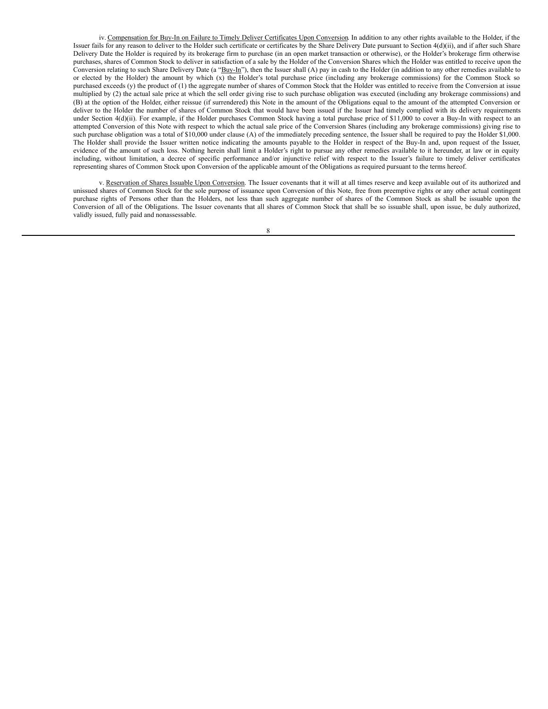iv. Compensation for Buy-In on Failure to Timely Deliver Certificates Upon Conversion. In addition to any other rights available to the Holder, if the Issuer fails for any reason to deliver to the Holder such certificate or certificates by the Share Delivery Date pursuant to Section 4(d)(ii), and if after such Share Delivery Date the Holder is required by its brokerage firm to purchase (in an open market transaction or otherwise), or the Holder's brokerage firm otherwise purchases, shares of Common Stock to deliver in satisfaction of a sale by the Holder of the Conversion Shares which the Holder was entitled to receive upon the Conversion relating to such Share Delivery Date (a "Buy-In"), then the Issuer shall (A) pay in cash to the Holder (in addition to any other remedies available to or elected by the Holder) the amount by which (x) the Holder's total purchase price (including any brokerage commissions) for the Common Stock so purchased exceeds (y) the product of (1) the aggregate number of shares of Common Stock that the Holder was entitled to receive from the Conversion at issue multiplied by (2) the actual sale price at which the sell order giving rise to such purchase obligation was executed (including any brokerage commissions) and (B) at the option of the Holder, either reissue (if surrendered) this Note in the amount of the Obligations equal to the amount of the attempted Conversion or deliver to the Holder the number of shares of Common Stock that would have been issued if the Issuer had timely complied with its delivery requirements under Section 4(d)(ii). For example, if the Holder purchases Common Stock having a total purchase price of \$11,000 to cover a Buy-In with respect to an attempted Conversion of this Note with respect to which the actual sale price of the Conversion Shares (including any brokerage commissions) giving rise to such purchase obligation was a total of \$10,000 under clause (A) of the immediately preceding sentence, the Issuer shall be required to pay the Holder \$1,000. The Holder shall provide the Issuer written notice indicating the amounts payable to the Holder in respect of the Buy-In and, upon request of the Issuer, evidence of the amount of such loss. Nothing herein shall limit a Holder's right to pursue any other remedies available to it hereunder, at law or in equity including, without limitation, a decree of specific performance and/or injunctive relief with respect to the Issuer's failure to timely deliver certificates representing shares of Common Stock upon Conversion of the applicable amount of the Obligations as required pursuant to the terms hereof.

v. Reservation of Shares Issuable Upon Conversion. The Issuer covenants that it will at all times reserve and keep available out of its authorized and unissued shares of Common Stock for the sole purpose of issuance upon Conversion of this Note, free from preemptive rights or any other actual contingent purchase rights of Persons other than the Holders, not less than such aggregate number of shares of the Common Stock as shall be issuable upon the Conversion of all of the Obligations. The Issuer covenants that all shares of Common Stock that shall be so issuable shall, upon issue, be duly authorized, validly issued, fully paid and nonassessable.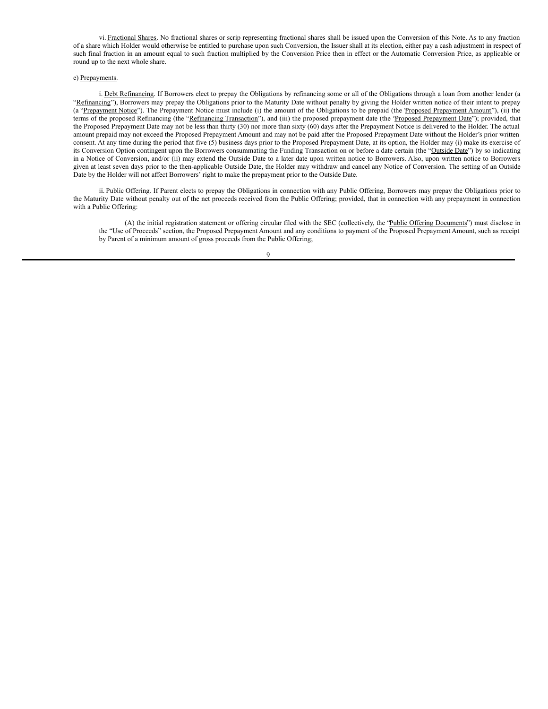vi. Fractional Shares. No fractional shares or scrip representing fractional shares shall be issued upon the Conversion of this Note. As to any fraction of a share which Holder would otherwise be entitled to purchase upon such Conversion, the Issuer shall at its election, either pay a cash adjustment in respect of such final fraction in an amount equal to such fraction multiplied by the Conversion Price then in effect or the Automatic Conversion Price, as applicable or round up to the next whole share.

## e) Prepayments.

i. Debt Refinancing. If Borrowers elect to prepay the Obligations by refinancing some or all of the Obligations through a loan from another lender (a "Refinancing"), Borrowers may prepay the Obligations prior to the Maturity Date without penalty by giving the Holder written notice of their intent to prepay (a "Prepayment Notice"). The Prepayment Notice must include (i) the amount of the Obligations to be prepaid (the Proposed Prepayment Amount"), (ii) the terms of the proposed Refinancing (the "Refinancing Transaction"), and (iii) the proposed prepayment date (the "Proposed Prepayment Date"); provided, that the Proposed Prepayment Date may not be less than thirty (30) nor more than sixty (60) days after the Prepayment Notice is delivered to the Holder. The actual amount prepaid may not exceed the Proposed Prepayment Amount and may not be paid after the Proposed Prepayment Date without the Holder's prior written consent. At any time during the period that five (5) business days prior to the Proposed Prepayment Date, at its option, the Holder may (i) make its exercise of its Conversion Option contingent upon the Borrowers consummating the Funding Transaction on or before a date certain (the "Outside Date") by so indicating in a Notice of Conversion, and/or (ii) may extend the Outside Date to a later date upon written notice to Borrowers. Also, upon written notice to Borrowers given at least seven days prior to the then-applicable Outside Date, the Holder may withdraw and cancel any Notice of Conversion. The setting of an Outside Date by the Holder will not affect Borrowers' right to make the prepayment prior to the Outside Date.

ii. Public Offering. If Parent elects to prepay the Obligations in connection with any Public Offering, Borrowers may prepay the Obligations prior to the Maturity Date without penalty out of the net proceeds received from the Public Offering; provided, that in connection with any prepayment in connection with a Public Offering:

(A) the initial registration statement or offering circular filed with the SEC (collectively, the "Public Offering Documents") must disclose in the "Use of Proceeds" section, the Proposed Prepayment Amount and any conditions to payment of the Proposed Prepayment Amount, such as receipt by Parent of a minimum amount of gross proceeds from the Public Offering;

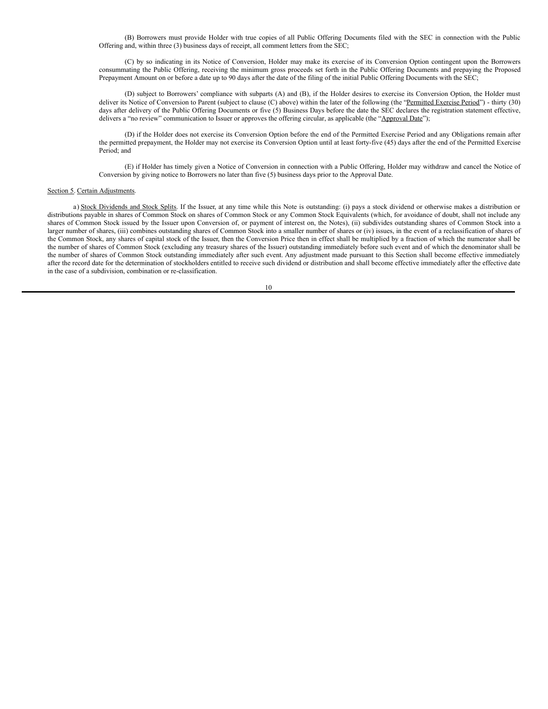<span id="page-14-0"></span>(B) Borrowers must provide Holder with true copies of all Public Offering Documents filed with the SEC in connection with the Public Offering and, within three (3) business days of receipt, all comment letters from the SEC;

(C) by so indicating in its Notice of Conversion, Holder may make its exercise of its Conversion Option contingent upon the Borrowers consummating the Public Offering, receiving the minimum gross proceeds set forth in the Public Offering Documents and prepaying the Proposed Prepayment Amount on or before a date up to 90 days after the date of the filing of the initial Public Offering Documents with the SEC;

(D) subject to Borrowers' compliance with subparts (A) and (B), if the Holder desires to exercise its Conversion Option, the Holder must deliver its Notice of Conversion to Parent (subject to clause (C) above) within the later of the following (the "Permitted Exercise Period") - thirty (30) days after delivery of the Public Offering Documents or five (5) Business Days before the date the SEC declares the registration statement effective, delivers a "no review" communication to Issuer or approves the offering circular, as applicable (the "Approval Date");

(D) if the Holder does not exercise its Conversion Option before the end of the Permitted Exercise Period and any Obligations remain after the permitted prepayment, the Holder may not exercise its Conversion Option until at least forty-five (45) days after the end of the Permitted Exercise Period; and

(E) if Holder has timely given a Notice of Conversion in connection with a Public Offering, Holder may withdraw and cancel the Notice of Conversion by giving notice to Borrowers no later than five (5) business days prior to the Approval Date.

## Section 5. Certain Adjustments.

a) Stock Dividends and Stock Splits. If the Issuer, at any time while this Note is outstanding: (i) pays a stock dividend or otherwise makes a distribution or distributions payable in shares of Common Stock on shares of Common Stock or any Common Stock Equivalents (which, for avoidance of doubt, shall not include any shares of Common Stock issued by the Issuer upon Conversion of, or payment of interest on, the Notes), (ii) subdivides outstanding shares of Common Stock into a larger number of shares, (iii) combines outstanding shares of Common Stock into a smaller number of shares or (iv) issues, in the event of a reclassification of shares of the Common Stock, any shares of capital stock of the Issuer, then the Conversion Price then in effect shall be multiplied by a fraction of which the numerator shall be the number of shares of Common Stock (excluding any treasury shares of the Issuer) outstanding immediately before such event and of which the denominator shall be the number of shares of Common Stock outstanding immediately after such event. Any adjustment made pursuant to this Section shall become effective immediately after the record date for the determination of stockholders entitled to receive such dividend or distribution and shall become effective immediately after the effective date in the case of a subdivision, combination or re-classification.

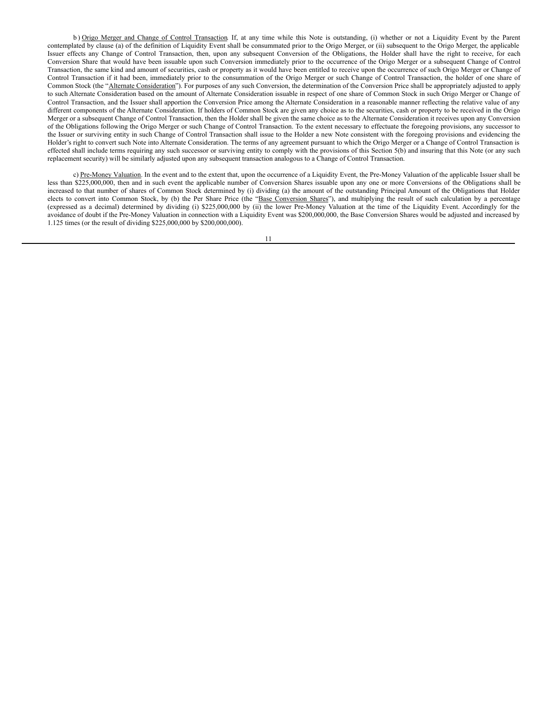b) Origo Merger and Change of Control Transaction. If, at any time while this Note is outstanding, (i) whether or not a Liquidity Event by the Parent contemplated by clause (a) of the definition of Liquidity Event shall be consummated prior to the Origo Merger, or (ii) subsequent to the Origo Merger, the applicable Issuer effects any Change of Control Transaction, then, upon any subsequent Conversion of the Obligations, the Holder shall have the right to receive, for each Conversion Share that would have been issuable upon such Conversion immediately prior to the occurrence of the Origo Merger or a subsequent Change of Control Transaction, the same kind and amount of securities, cash or property as it would have been entitled to receive upon the occurrence of such Origo Merger or Change of Control Transaction if it had been, immediately prior to the consummation of the Origo Merger or such Change of Control Transaction, the holder of one share of Common Stock (the "Alternate Consideration"). For purposes of any such Conversion, the determination of the Conversion Price shall be appropriately adjusted to apply to such Alternate Consideration based on the amount of Alternate Consideration issuable in respect of one share of Common Stock in such Origo Merger or Change of Control Transaction, and the Issuer shall apportion the Conversion Price among the Alternate Consideration in a reasonable manner reflecting the relative value of any different components of the Alternate Consideration. If holders of Common Stock are given any choice as to the securities, cash or property to be received in the Origo Merger or a subsequent Change of Control Transaction, then the Holder shall be given the same choice as to the Alternate Consideration it receives upon any Conversion of the Obligations following the Origo Merger or such Change of Control Transaction. To the extent necessary to effectuate the foregoing provisions, any successor to the Issuer or surviving entity in such Change of Control Transaction shall issue to the Holder a new Note consistent with the foregoing provisions and evidencing the Holder's right to convert such Note into Alternate Consideration. The terms of any agreement pursuant to which the Origo Merger or a Change of Control Transaction is effected shall include terms requiring any such successor or surviving entity to comply with the provisions of this Section 5(b) and insuring that this Note (or any such replacement security) will be similarly adjusted upon any subsequent transaction analogous to a Change of Control Transaction.

c) Pre-Money Valuation. In the event and to the extent that, upon the occurrence of a Liquidity Event, the Pre-Money Valuation of the applicable Issuer shall be less than \$225,000,000, then and in such event the applicable number of Conversion Shares issuable upon any one or more Conversions of the Obligations shall be increased to that number of shares of Common Stock determined by (i) dividing (a) the amount of the outstanding Principal Amount of the Obligations that Holder elects to convert into Common Stock, by (b) the Per Share Price (the "Base Conversion Shares"), and multiplying the result of such calculation by a percentage (expressed as a decimal) determined by dividing (i) \$225,000,000 by (ii) the lower Pre-Money Valuation at the time of the Liquidity Event. Accordingly for the avoidance of doubt if the Pre-Money Valuation in connection with a Liquidity Event was \$200,000,000, the Base Conversion Shares would be adjusted and increased by 1.125 times (or the result of dividing \$225,000,000 by \$200,000,000).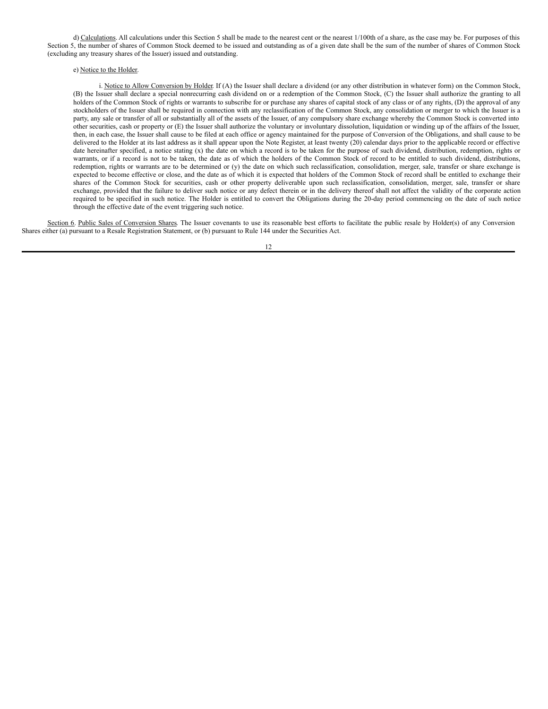d) Calculations. All calculations under this Section 5 shall be made to the nearest cent or the nearest 1/100th of a share, as the case may be. For purposes of this Section 5, the number of shares of Common Stock deemed to be issued and outstanding as of a given date shall be the sum of the number of shares of Common Stock (excluding any treasury shares of the Issuer) issued and outstanding.

### e) Notice to the Holder.

i. Notice to Allow Conversion by Holder. If (A) the Issuer shall declare a dividend (or any other distribution in whatever form) on the Common Stock, (B) the Issuer shall declare a special nonrecurring cash dividend on or a redemption of the Common Stock, (C) the Issuer shall authorize the granting to all holders of the Common Stock of rights or warrants to subscribe for or purchase any shares of capital stock of any class or of any rights, (D) the approval of any stockholders of the Issuer shall be required in connection with any reclassification of the Common Stock, any consolidation or merger to which the Issuer is a party, any sale or transfer of all or substantially all of the assets of the Issuer, of any compulsory share exchange whereby the Common Stock is converted into other securities, cash or property or (E) the Issuer shall authorize the voluntary or involuntary dissolution, liquidation or winding up of the affairs of the Issuer, then, in each case, the Issuer shall cause to be filed at each office or agency maintained for the purpose of Conversion of the Obligations, and shall cause to be delivered to the Holder at its last address as it shall appear upon the Note Register, at least twenty (20) calendar days prior to the applicable record or effective date hereinafter specified, a notice stating (x) the date on which a record is to be taken for the purpose of such dividend, distribution, redemption, rights or warrants, or if a record is not to be taken, the date as of which the holders of the Common Stock of record to be entitled to such dividend, distributions, redemption, rights or warrants are to be determined or (y) the date on which such reclassification, consolidation, merger, sale, transfer or share exchange is expected to become effective or close, and the date as of which it is expected that holders of the Common Stock of record shall be entitled to exchange their shares of the Common Stock for securities, cash or other property deliverable upon such reclassification, consolidation, merger, sale, transfer or share exchange, provided that the failure to deliver such notice or any defect therein or in the delivery thereof shall not affect the validity of the corporate action required to be specified in such notice. The Holder is entitled to convert the Obligations during the 20-day period commencing on the date of such notice through the effective date of the event triggering such notice.

Section 6. Public Sales of Conversion Shares. The Issuer covenants to use its reasonable best efforts to facilitate the public resale by Holder(s) of any Conversion Shares either (a) pursuant to a Resale Registration Statement, or (b) pursuant to Rule 144 under the Securities Act.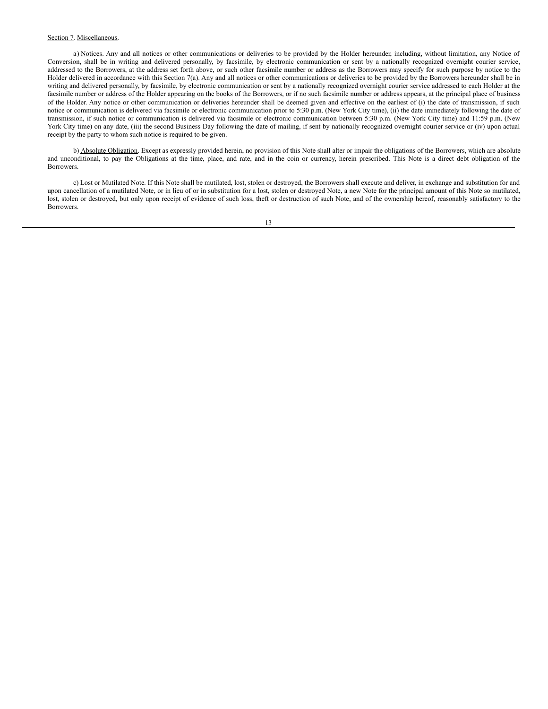## Section 7. Miscellaneous.

a) Notices. Any and all notices or other communications or deliveries to be provided by the Holder hereunder, including, without limitation, any Notice of Conversion, shall be in writing and delivered personally, by facsimile, by electronic communication or sent by a nationally recognized overnight courier service, addressed to the Borrowers, at the address set forth above, or such other facsimile number or address as the Borrowers may specify for such purpose by notice to the Holder delivered in accordance with this Section 7(a). Any and all notices or other communications or deliveries to be provided by the Borrowers hereunder shall be in writing and delivered personally, by facsimile, by electronic communication or sent by a nationally recognized overnight courier service addressed to each Holder at the facsimile number or address of the Holder appearing on the books of the Borrowers, or if no such facsimile number or address appears, at the principal place of business of the Holder. Any notice or other communication or deliveries hereunder shall be deemed given and effective on the earliest of (i) the date of transmission, if such notice or communication is delivered via facsimile or electronic communication prior to 5:30 p.m. (New York City time), (ii) the date immediately following the date of transmission, if such notice or communication is delivered via facsimile or electronic communication between 5:30 p.m. (New York City time) and 11:59 p.m. (New York City time) on any date, (iii) the second Business Day following the date of mailing, if sent by nationally recognized overnight courier service or (iv) upon actual receipt by the party to whom such notice is required to be given.

b) Absolute Obligation. Except as expressly provided herein, no provision of this Note shall alter or impair the obligations of the Borrowers, which are absolute and unconditional, to pay the Obligations at the time, place, and rate, and in the coin or currency, herein prescribed. This Note is a direct debt obligation of the Borrowers.

c) Lost or Mutilated Note. If this Note shall be mutilated, lost, stolen or destroyed, the Borrowers shall execute and deliver, in exchange and substitution for and upon cancellation of a mutilated Note, or in lieu of or in substitution for a lost, stolen or destroyed Note, a new Note for the principal amount of this Note so mutilated, lost, stolen or destroyed, but only upon receipt of evidence of such loss, theft or destruction of such Note, and of the ownership hereof, reasonably satisfactory to the Borrowers.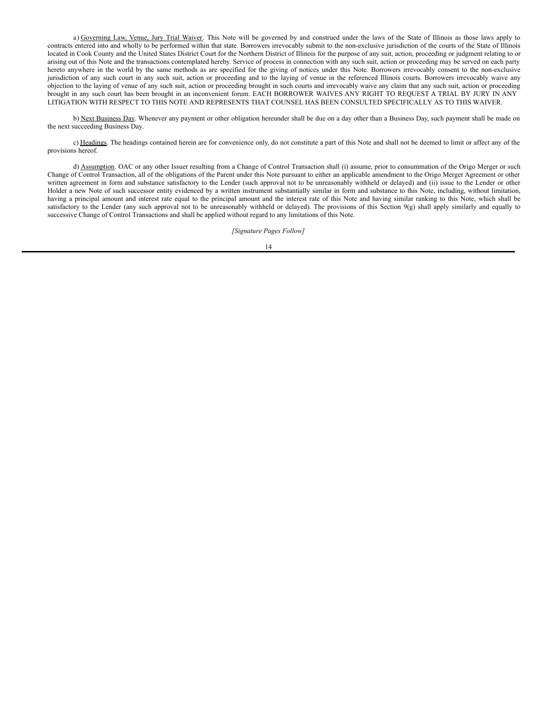a) Governing Law, Venue, Jury Trial Waiver. This Note will be governed by and construed under the laws of the State of Illinois as those laws apply to contracts entered into and wholly to be performed within that state. Borrowers irrevocably submit to the non-exclusive jurisdiction of the courts of the State of Illinois located in Cook County and the United States District Court for the Northern District of Illinois for the purpose of any suit, action, proceeding or judgment relating to or arising out of this Note and the transactions contemplated hereby. Service of process in connection with any such suit, action or proceeding may be served on each party hereto anywhere in the world by the same methods as are specified for the giving of notices under this Note. Borrowers irrevocably consent to the non-exclusive jurisdiction of any such court in any such suit, action or proceeding and to the laying of venue in the referenced Illinois courts. Borrowers irrevocably waive any objection to the laying of venue of any such suit, action or proceeding brought in such courts and irrevocably waive any claim that any such suit, action or proceeding brought in any such court has been brought in an inconvenient forum. EACH BORROWER WAIVES ANY RIGHT TO REQUEST A TRIAL BY JURY IN ANY LITIGATION WITH RESPECT TO THIS NOTE AND REPRESENTS THAT COUNSEL HAS BEEN CONSULTED SPECIFICALLY AS TO THIS WAIVER.

b) Next Business Day. Whenever any payment or other obligation hereunder shall be due on a day other than a Business Day, such payment shall be made on the next succeeding Business Day.

c) Headings. The headings contained herein are for convenience only, do not constitute a part of this Note and shall not be deemed to limit or affect any of the provisions hereof.

d) Assumption. OAC or any other Issuer resulting from a Change of Control Transaction shall (i) assume, prior to consummation of the Origo Merger or such Change of Control Transaction, all of the obligations of the Parent under this Note pursuant to either an applicable amendment to the Origo Merger Agreement or other written agreement in form and substance satisfactory to the Lender (such approval not to be unreasonably withheld or delayed) and (ii) issue to the Lender or other Holder a new Note of such successor entity evidenced by a written instrument substantially similar in form and substance to this Note, including, without limitation, having a principal amount and interest rate equal to the principal amount and the interest rate of this Note and having similar ranking to this Note, which shall be satisfactory to the Lender (any such approval not to be unreasonably withheld or delayed). The provisions of this Section 9(g) shall apply similarly and equally to successive Change of Control Transactions and shall be applied without regard to any limitations of this Note.

*[Signature Pages Follow]*

$$
^{14}
$$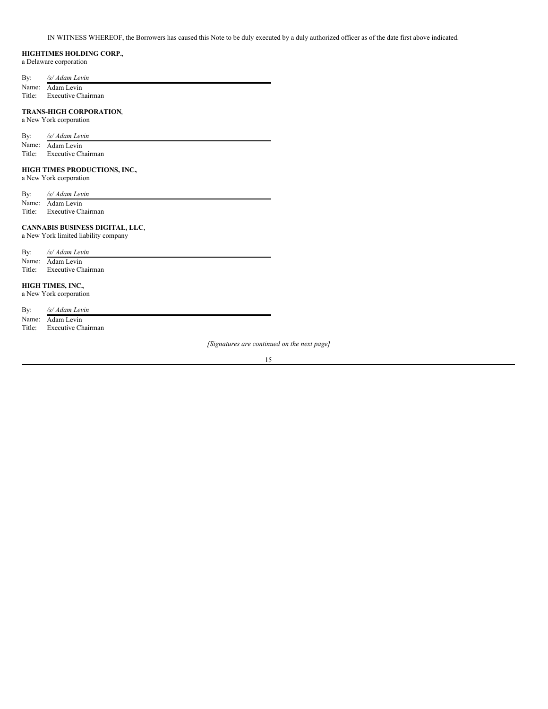IN WITNESS WHEREOF, the Borrowers has caused this Note to be duly executed by a duly authorized officer as of the date first above indicated.

## **HIGHTIMES HOLDING CORP.**,

a Delaware corporation

| By: | /s/ Adam Levin   |
|-----|------------------|
|     | Name: Adam Levin |

Title: Executive Chairman

## **TRANS-HIGH CORPORATION**,

a New York corporation

| By: | /s/ Adam Levin |  |
|-----|----------------|--|
|     |                |  |

Name: Adam Levin

Title: Executive Chairman

## **HIGH TIMES PRODUCTIONS, INC.**,

a New York corporation

By: */s/ Adam Levin*

Name: Adam Levin Title: Executive Chairman

# **CANNABIS BUSINESS DIGITAL, LLC**,

a New York limited liability company

| By:    | /s/ Adam Levin     |
|--------|--------------------|
|        | Name: Adam Levin   |
| Title: | Executive Chairman |

# **HIGH TIMES, INC.**,

a New York corporation

| By: | /s/ Adam Levin            |
|-----|---------------------------|
|     | Name: Adam Levin          |
|     | Title: Executive Chairman |

*[Signatures are continued on the next page]*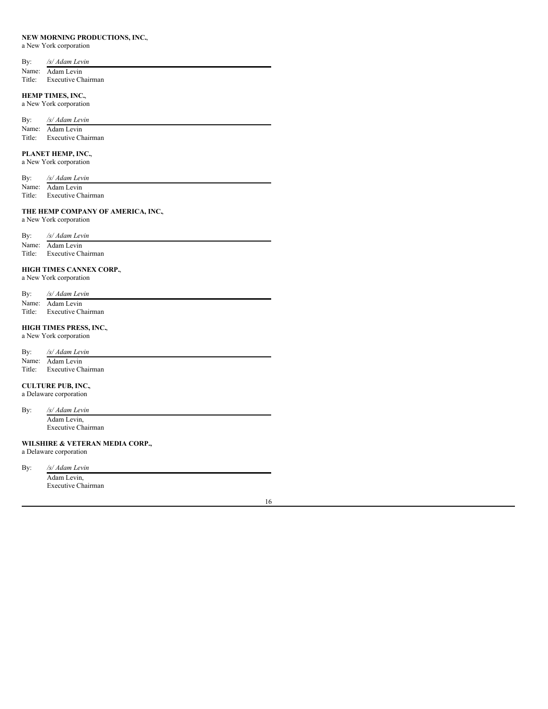## **NEW MORNING PRODUCTIONS, INC.**,

a New York corporation

| By: | /s/ Adam Levin            |
|-----|---------------------------|
|     | Name: Adam Levin          |
|     | Title: Executive Chairman |

# **HEMP TIMES, INC.**,

a New York corporation

| By: | /s/ Adam Levin            |
|-----|---------------------------|
|     | Name: Adam Levin          |
|     | Title: Executive Chairman |

# **PLANET HEMP, INC.**,

a New York corporation

| By:    | /s/ Adam Levin            |
|--------|---------------------------|
|        | Name: Adam Levin          |
| Title: | <b>Executive Chairman</b> |

# **THE HEMP COMPANY OF AMERICA, INC.**,

a New York corporation

| By:    | /s/ Adam Levin            |
|--------|---------------------------|
|        | Name: Adam Levin          |
| Title: | <b>Executive Chairman</b> |

# **HIGH TIMES CANNEX CORP.**,

a New York corporation

| By: | /s/ Adam Levin            |
|-----|---------------------------|
|     | Name: Adam Levin          |
|     | Title: Executive Chairman |

# **HIGH TIMES PRESS, INC.**,

a New York corporation

| By: | /s/ Adam Levin            |
|-----|---------------------------|
|     | Name: Adam Levin          |
|     | Title: Executive Chairman |

# **CULTURE PUB, INC.**,

a Delaware corporation

By: */s/ Adam Levin* Adam Levin, Executive Chairman

# **WILSHIRE & VETERAN MEDIA CORP.,**

a Delaware corporation

By: */s/ Adam Levin*

Adam Levin, Executive Chairman

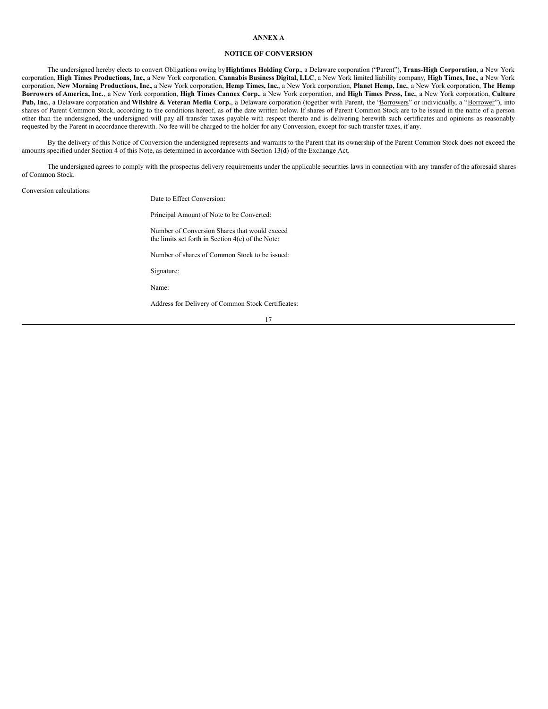## **ANNEX A**

## **NOTICE OF CONVERSION**

The undersigned hereby elects to convert Obligations owing by**Hightimes Holding Corp.**, a Delaware corporation ("Parent"), **Trans-High Corporation**, a New York corporation, High Times Productions, Inc, a New York corporation, Cannabis Business Digital, LLC, a New York limited liability company, High Times, Inc, a New York corporation, New Morning Productions, Inc., a New York corporation, Hemp Times, Inc., a New York corporation, Planet Hemp, Inc., a New York corporation, The Hemp Borrowers of America, Inc., a New York corporation, High Times Cannex Corp., a New York corporation, and High Times Press, Inc., a New York corporation, Culture **Pub, Inc.**, a Delaware corporation and **Wilshire & Veteran Media Corp.**, a Delaware corporation (together with Parent, the "Borrowers" or individually, a "Borrower"), into shares of Parent Common Stock, according to the conditions hereof, as of the date written below. If shares of Parent Common Stock are to be issued in the name of a person other than the undersigned, the undersigned will pay all transfer taxes payable with respect thereto and is delivering herewith such certificates and opinions as reasonably requested by the Parent in accordance therewith. No fee will be charged to the holder for any Conversion, except for such transfer taxes, if any.

By the delivery of this Notice of Conversion the undersigned represents and warrants to the Parent that its ownership of the Parent Common Stock does not exceed the amounts specified under Section 4 of this Note, as determined in accordance with Section 13(d) of the Exchange Act.

The undersigned agrees to comply with the prospectus delivery requirements under the applicable securities laws in connection with any transfer of the aforesaid shares of Common Stock.

### Conversion calculations:

Date to Effect Conversion:

Principal Amount of Note to be Converted:

Number of Conversion Shares that would exceed the limits set forth in Section 4(c) of the Note:

Number of shares of Common Stock to be issued:

Signature:

Name:

Address for Delivery of Common Stock Certificates: